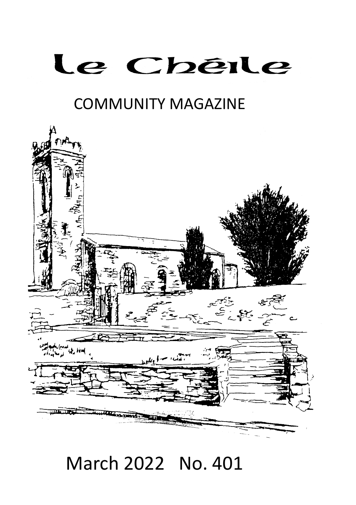# Le Chêile

## COMMUNITY MAGAZINE



# March 2022 No. 401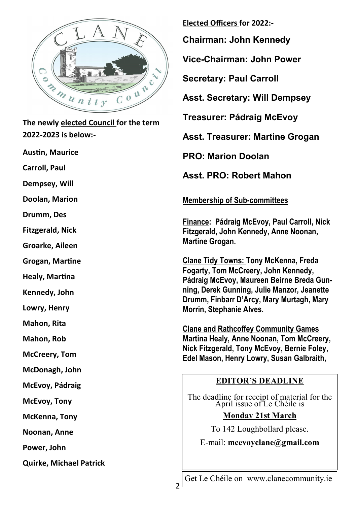

**The newly elected Council for the term 2022-2023 is below:-**

**Austin, Maurice**

**Carroll, Paul**

**Dempsey, Will** 

**Doolan, Marion**

**Drumm, Des**

**Fitzgerald, Nick**

**Groarke, Aileen**

**Grogan, Martine**

**Healy, Martina**

**Kennedy, John**

**Lowry, Henry**

**Mahon, Rita**

**Mahon, Rob**

**McCreery, Tom**

**McDonagh, John**

**McEvoy, Pádraig**

**McEvoy, Tony**

**McKenna, Tony**

**Noonan, Anne**

**Power, John**

**Quirke, Michael Patrick** 

**Elected Officers for 2022:-**

**Chairman: John Kennedy**

**Vice-Chairman: John Power**

**Secretary: Paul Carroll**

**Asst. Secretary: Will Dempsey**

**Treasurer: Pádraig McEvoy**

**Asst. Treasurer: Martine Grogan**

**PRO: Marion Doolan**

**Asst. PRO: Robert Mahon**

**Membership of Sub-committees** 

**Finance: Pádraig McEvoy, Paul Carroll, Nick Fitzgerald, John Kennedy, Anne Noonan, Martine Grogan.** 

**Clane Tidy Towns: Tony McKenna, Freda Fogarty, Tom McCreery, John Kennedy, Pádraig McEvoy, Maureen Beirne Breda Gunning, Derek Gunning, Julie Manzor, Jeanette Drumm, Finbarr D'Arcy, Mary Murtagh, Mary Morrin, Stephanie Alves.** 

**Clane and Rathcoffey Community Games Martina Healy, Anne Noonan, Tom McCreery, Nick Fitzgerald, Tony McEvoy, Bernie Foley, Edel Mason, Henry Lowry, Susan Galbraith,** 

#### **EDITOR'S DEADLINE**

The deadline for receipt of material for the April issue of Le Chéile is

#### **Monday 21st March**

To 142 Loughbollard please.

E-mail: **mcevoyclane@gmail.com**

 $\overline{\phantom{a}}$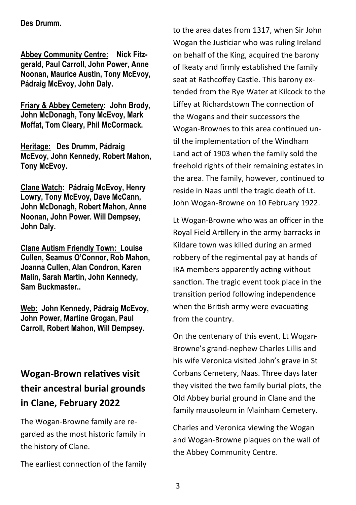#### **Des Drumm.**

**Abbey Community Centre: Nick Fitzgerald, Paul Carroll, John Power, Anne Noonan, Maurice Austin, Tony McEvoy, Pádraig McEvoy, John Daly.** 

**Friary & Abbey Cemetery: John Brody, John McDonagh, Tony McEvoy, Mark Moffat, Tom Cleary, Phil McCormack.**

**Heritage: Des Drumm, Pádraig McEvoy, John Kennedy, Robert Mahon, Tony McEvoy.**

**Clane Watch: Pádraig McEvoy, Henry Lowry, Tony McEvoy, Dave McCann, John McDonagh, Robert Mahon, Anne Noonan, John Power. Will Dempsey, John Daly.**

**Clane Autism Friendly Town: Louise Cullen, Seamus O'Connor, Rob Mahon, Joanna Cullen, Alan Condron, Karen Malin, Sarah Martin, John Kennedy, Sam Buckmaster..**

**Web: John Kennedy, Pádraig McEvoy, John Power, Martine Grogan, Paul Carroll, Robert Mahon, Will Dempsey.**

### **Wogan-Brown relatives visit their ancestral burial grounds in Clane, February 2022**

The Wogan-Browne family are regarded as the most historic family in the history of Clane.

The earliest connection of the family

to the area dates from 1317, when Sir John Wogan the Justiciar who was ruling Ireland on behalf of the King, acquired the barony of Ikeaty and firmly established the family seat at Rathcoffey Castle. This barony extended from the Rye Water at Kilcock to the Liffey at Richardstown The connection of the Wogans and their successors the Wogan-Brownes to this area continued until the implementation of the Windham Land act of 1903 when the family sold the freehold rights of their remaining estates in the area. The family, however, continued to reside in Naas until the tragic death of Lt. John Wogan-Browne on 10 February 1922.

Lt Wogan-Browne who was an officer in the Royal Field Artillery in the army barracks in Kildare town was killed during an armed robbery of the regimental pay at hands of IRA members apparently acting without sanction. The tragic event took place in the transition period following independence when the British army were evacuating from the country.

On the centenary of this event, Lt Wogan-Browne's grand-nephew Charles Lillis and his wife Veronica visited John's grave in St Corbans Cemetery, Naas. Three days later they visited the two family burial plots, the Old Abbey burial ground in Clane and the family mausoleum in Mainham Cemetery.

Charles and Veronica viewing the Wogan and Wogan-Browne plaques on the wall of the Abbey Community Centre.